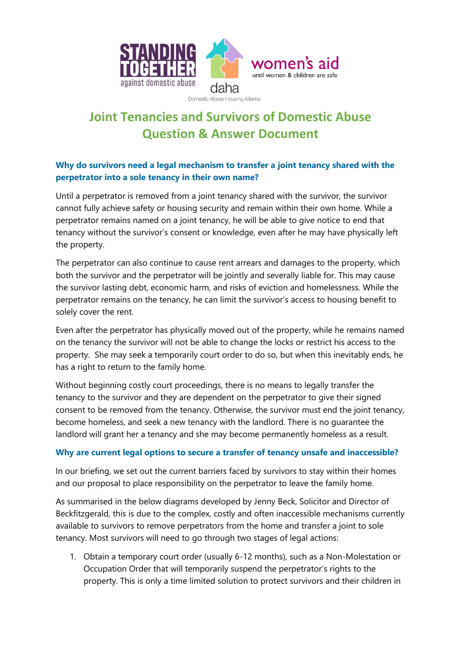

# **Joint Tenancies and Survivors of Domestic Abuse Question & Answer Document**

# **Why do survivors need a legal mechanism to transfer a joint tenancy shared with the perpetrator into a sole tenancy in their own name?**

Until a perpetrator is removed from a joint tenancy shared with the survivor, the survivor cannot fully achieve safety or housing security and remain within their own home. While a perpetrator remains named on a joint tenancy, he will be able to give notice to end that tenancy without the survivor's consent or knowledge, even after he may have physically left the property.

The perpetrator can also continue to cause rent arrears and damages to the property, which both the survivor and the perpetrator will be jointly and severally liable for. This may cause the survivor lasting debt, economic harm, and risks of eviction and homelessness. While the perpetrator remains on the tenancy, he can limit the survivor's access to housing benefit to solely cover the rent.

Even after the perpetrator has physically moved out of the property, while he remains named on the tenancy the survivor will not be able to change the locks or restrict his access to the property. She may seek a temporarily court order to do so, but when this inevitably ends, he has a right to return to the family home.

Without beginning costly court proceedings, there is no means to legally transfer the tenancy to the survivor and they are dependent on the perpetrator to give their signed consent to be removed from the tenancy. Otherwise, the survivor must end the joint tenancy, become homeless, and seek a new tenancy with the landlord. There is no guarantee the landlord will grant her a tenancy and she may become permanently homeless as a result.

#### **Why are current legal options to secure a transfer of tenancy unsafe and inaccessible?**

In our briefing, we set out the current barriers faced by survivors to stay within their homes and our proposal to place responsibility on the perpetrator to leave the family home.

As summarised in the below diagrams developed by Jenny Beck, Solicitor and Director of Beckfitzgerald, this is due to the complex, costly and often inaccessible mechanisms currently available to survivors to remove perpetrators from the home and transfer a joint to sole tenancy. Most survivors will need to go through two stages of legal actions:

1. Obtain a temporary court order (usually 6-12 months), such as a Non-Molestation or Occupation Order that will temporarily suspend the perpetrator's rights to the property. This is only a time limited solution to protect survivors and their children in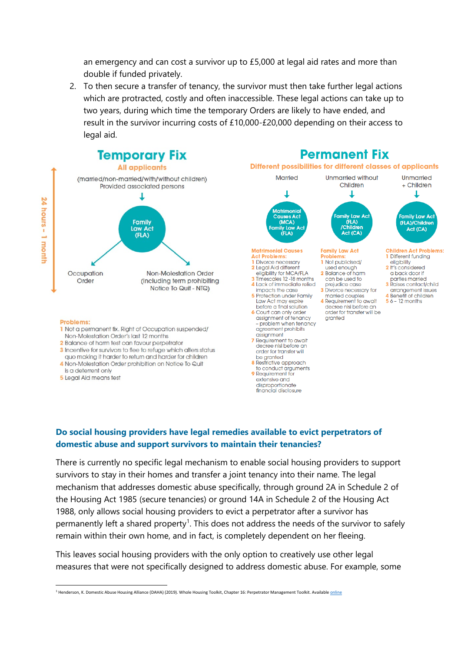an emergency and can cost a survivor up to  $£5,000$  at legal aid rates and more than double if funded privately.

2. To then secure a transfer of tenancy, the survivor must then take further legal actions which are protracted, costly and often inaccessible. These legal actions can take up to two years, during which time the temporary Orders are likely to have ended, and result in the survivor incurring costs of £10,000-£20,000 depending on their access to legal aid.



#### Problems:

- 1 Not a permanent fix. Right of Occupation suspended/ Non-Molestation Order's last 12 months
- 2 Balance of harm test can favour perpetrator
- 3 Incentive for survivors to flee to refuge which alters status auo making it harder to return and harder for children
- 4 Non-Molestation Order prohibition on Notice To Quit is a deterrent only
- **5** Legal Aid means test



## **Do social housing providers have legal remedies available to evict perpetrators of domestic abuse and support survivors to maintain their tenancies?**

There is currently no specific legal mechanism to enable social housing providers to support survivors to stay in their homes and transfer a joint tenancy into their name. The legal mechanism that addresses domestic abuse specifically, through ground 2A in Schedule 2 of the Housing Act 1985 (secure tenancies) or ground 14A in Schedule 2 of the Housing Act 1988, only allows social housing providers to evict a perpetrator after a survivor has permanently left a shared property<sup>[1](#page-1-0)</sup>. This does not address the needs of the survivor to safely remain within their own home, and in fact, is completely dependent on her fleeing.

This leaves social housing providers with the only option to creatively use other legal measures that were not specifically designed to address domestic abuse. For example, some

<span id="page-1-0"></span><sup>&</sup>lt;sup>1</sup> Henderson, K. Domestic Abuse Housing Alliance (DAHA) (2019). Whole Housing Toolkit, Chapter 16: Perpetrator Management Toolkit. Availabl[e online](https://www.dahalliance.org.uk/media/10662/16_-wha-perpetrator-management.pdf)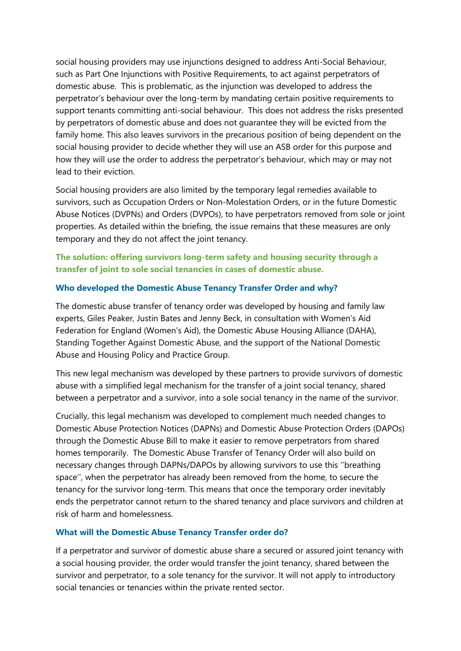social housing providers may use injunctions designed to address Anti-Social Behaviour, such as Part One Injunctions with Positive Requirements, to act against perpetrators of domestic abuse. This is problematic, as the injunction was developed to address the perpetrator's behaviour over the long-term by mandating certain positive requirements to support tenants committing anti-social behaviour. This does not address the risks presented by perpetrators of domestic abuse and does not guarantee they will be evicted from the family home. This also leaves survivors in the precarious position of being dependent on the social housing provider to decide whether they will use an ASB order for this purpose and how they will use the order to address the perpetrator's behaviour, which may or may not lead to their eviction.

Social housing providers are also limited by the temporary legal remedies available to survivors, such as Occupation Orders or Non-Molestation Orders, or in the future Domestic Abuse Notices (DVPNs) and Orders (DVPOs), to have perpetrators removed from sole or joint properties. As detailed within the briefing, the issue remains that these measures are only temporary and they do not affect the joint tenancy.

## **The solution: offering survivors long-term safety and housing security through a transfer of joint to sole social tenancies in cases of domestic abuse.**

#### **Who developed the Domestic Abuse Tenancy Transfer Order and why?**

The domestic abuse transfer of tenancy order was developed by housing and family law experts, Giles Peaker, Justin Bates and Jenny Beck, in consultation with Women's Aid Federation for England (Women's Aid), the Domestic Abuse Housing Alliance (DAHA), Standing Together Against Domestic Abuse, and the support of the National Domestic Abuse and Housing Policy and Practice Group.

This new legal mechanism was developed by these partners to provide survivors of domestic abuse with a simplified legal mechanism for the transfer of a joint social tenancy, shared between a perpetrator and a survivor, into a sole social tenancy in the name of the survivor.

Crucially, this legal mechanism was developed to complement much needed changes to Domestic Abuse Protection Notices (DAPNs) and Domestic Abuse Protection Orders (DAPOs) through the Domestic Abuse Bill to make it easier to remove perpetrators from shared homes temporarily. The Domestic Abuse Transfer of Tenancy Order will also build on necessary changes through DAPNs/DAPOs by allowing survivors to use this ''breathing space'', when the perpetrator has already been removed from the home, to secure the tenancy for the survivor long-term. This means that once the temporary order inevitably ends the perpetrator cannot return to the shared tenancy and place survivors and children at risk of harm and homelessness.

#### **What will the Domestic Abuse Tenancy Transfer order do?**

If a perpetrator and survivor of domestic abuse share a secured or assured joint tenancy with a social housing provider, the order would transfer the joint tenancy, shared between the survivor and perpetrator, to a sole tenancy for the survivor. It will not apply to introductory social tenancies or tenancies within the private rented sector.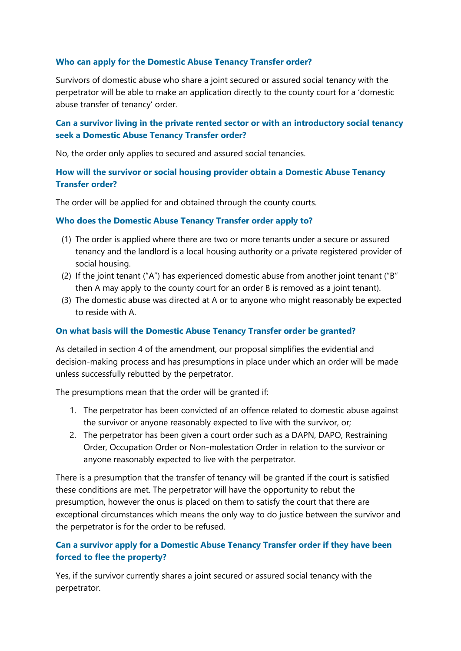#### **Who can apply for the Domestic Abuse Tenancy Transfer order?**

Survivors of domestic abuse who share a joint secured or assured social tenancy with the perpetrator will be able to make an application directly to the county court for a 'domestic abuse transfer of tenancy' order.

## **Can a survivor living in the private rented sector or with an introductory social tenancy seek a Domestic Abuse Tenancy Transfer order?**

No, the order only applies to secured and assured social tenancies.

## **How will the survivor or social housing provider obtain a Domestic Abuse Tenancy Transfer order?**

The order will be applied for and obtained through the county courts.

#### **Who does the Domestic Abuse Tenancy Transfer order apply to?**

- (1) The order is applied where there are two or more tenants under a secure or assured tenancy and the landlord is a local housing authority or a private registered provider of social housing.
- (2) If the joint tenant ("A") has experienced domestic abuse from another joint tenant ("B" then A may apply to the county court for an order B is removed as a joint tenant).
- (3) The domestic abuse was directed at A or to anyone who might reasonably be expected to reside with A.

#### **On what basis will the Domestic Abuse Tenancy Transfer order be granted?**

As detailed in section 4 of the amendment, our proposal simplifies the evidential and decision-making process and has presumptions in place under which an order will be made unless successfully rebutted by the perpetrator.

The presumptions mean that the order will be granted if:

- 1. The perpetrator has been convicted of an offence related to domestic abuse against the survivor or anyone reasonably expected to live with the survivor, or;
- 2. The perpetrator has been given a court order such as a DAPN, DAPO, Restraining Order, Occupation Order or Non-molestation Order in relation to the survivor or anyone reasonably expected to live with the perpetrator.

There is a presumption that the transfer of tenancy will be granted if the court is satisfied these conditions are met. The perpetrator will have the opportunity to rebut the presumption, however the onus is placed on them to satisfy the court that there are exceptional circumstances which means the only way to do justice between the survivor and the perpetrator is for the order to be refused.

## **Can a survivor apply for a Domestic Abuse Tenancy Transfer order if they have been forced to flee the property?**

Yes, if the survivor currently shares a joint secured or assured social tenancy with the perpetrator.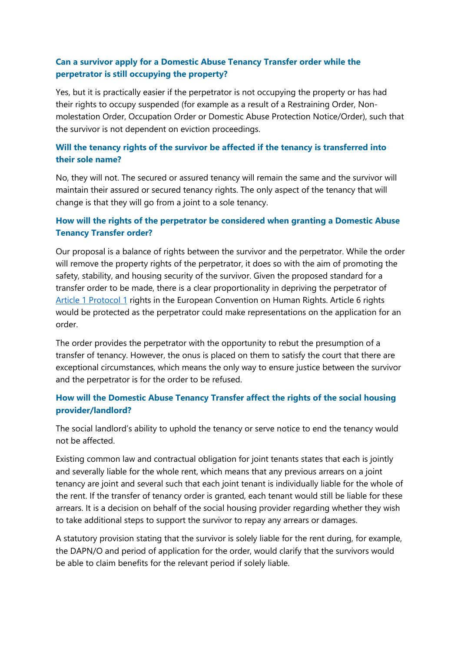# **Can a survivor apply for a Domestic Abuse Tenancy Transfer order while the perpetrator is still occupying the property?**

Yes, but it is practically easier if the perpetrator is not occupying the property or has had their rights to occupy suspended (for example as a result of a Restraining Order, Nonmolestation Order, Occupation Order or Domestic Abuse Protection Notice/Order), such that the survivor is not dependent on eviction proceedings.

# **Will the tenancy rights of the survivor be affected if the tenancy is transferred into their sole name?**

No, they will not. The secured or assured tenancy will remain the same and the survivor will maintain their assured or secured tenancy rights. The only aspect of the tenancy that will change is that they will go from a joint to a sole tenancy.

## **How will the rights of the perpetrator be considered when granting a Domestic Abuse Tenancy Transfer order?**

Our proposal is a balance of rights between the survivor and the perpetrator. While the order will remove the property rights of the perpetrator, it does so with the aim of promoting the safety, stability, and housing security of the survivor. Given the proposed standard for a transfer order to be made, there is a clear proportionality in depriving the perpetrator of [Article 1 Protocol 1](https://ukhumanrightsblog.com/incorporated-rights/articles-index/protocol-1-article-1/) rights in the European Convention on Human Rights. Article 6 rights would be protected as the perpetrator could make representations on the application for an order.

The order provides the perpetrator with the opportunity to rebut the presumption of a transfer of tenancy. However, the onus is placed on them to satisfy the court that there are exceptional circumstances, which means the only way to ensure justice between the survivor and the perpetrator is for the order to be refused.

## **How will the Domestic Abuse Tenancy Transfer affect the rights of the social housing provider/landlord?**

The social landlord's ability to uphold the tenancy or serve notice to end the tenancy would not be affected.

Existing common law and contractual obligation for joint tenants states that each is jointly and severally liable for the whole rent, which means that any previous arrears on a joint tenancy are joint and several such that each joint tenant is individually liable for the whole of the rent. If the transfer of tenancy order is granted, each tenant would still be liable for these arrears. It is a decision on behalf of the social housing provider regarding whether they wish to take additional steps to support the survivor to repay any arrears or damages.

A statutory provision stating that the survivor is solely liable for the rent during, for example, the DAPN/O and period of application for the order, would clarify that the survivors would be able to claim benefits for the relevant period if solely liable.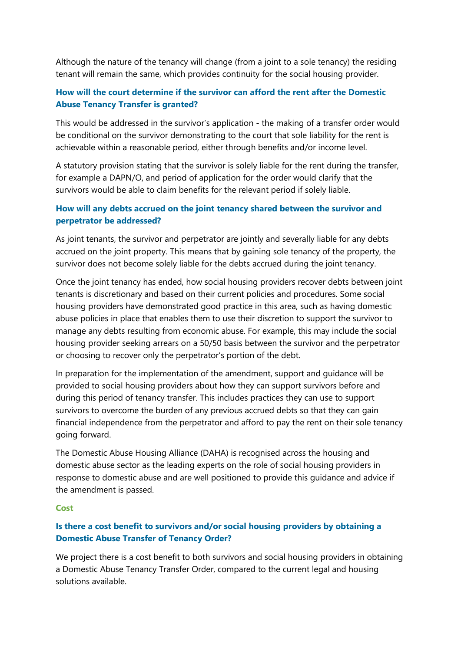Although the nature of the tenancy will change (from a joint to a sole tenancy) the residing tenant will remain the same, which provides continuity for the social housing provider.

# **How will the court determine if the survivor can afford the rent after the Domestic Abuse Tenancy Transfer is granted?**

This would be addressed in the survivor's application - the making of a transfer order would be conditional on the survivor demonstrating to the court that sole liability for the rent is achievable within a reasonable period, either through benefits and/or income level.

A statutory provision stating that the survivor is solely liable for the rent during the transfer, for example a DAPN/O, and period of application for the order would clarify that the survivors would be able to claim benefits for the relevant period if solely liable.

# **How will any debts accrued on the joint tenancy shared between the survivor and perpetrator be addressed?**

As joint tenants, the survivor and perpetrator are jointly and severally liable for any debts accrued on the joint property. This means that by gaining sole tenancy of the property, the survivor does not become solely liable for the debts accrued during the joint tenancy.

Once the joint tenancy has ended, how social housing providers recover debts between joint tenants is discretionary and based on their current policies and procedures. Some social housing providers have demonstrated good practice in this area, such as having domestic abuse policies in place that enables them to use their discretion to support the survivor to manage any debts resulting from economic abuse. For example, this may include the social housing provider seeking arrears on a 50/50 basis between the survivor and the perpetrator or choosing to recover only the perpetrator's portion of the debt.

In preparation for the implementation of the amendment, support and guidance will be provided to social housing providers about how they can support survivors before and during this period of tenancy transfer. This includes practices they can use to support survivors to overcome the burden of any previous accrued debts so that they can gain financial independence from the perpetrator and afford to pay the rent on their sole tenancy going forward.

The Domestic Abuse Housing Alliance (DAHA) is recognised across the housing and domestic abuse sector as the leading experts on the role of social housing providers in response to domestic abuse and are well positioned to provide this guidance and advice if the amendment is passed.

#### **Cost**

# **Is there a cost benefit to survivors and/or social housing providers by obtaining a Domestic Abuse Transfer of Tenancy Order?**

We project there is a cost benefit to both survivors and social housing providers in obtaining a Domestic Abuse Tenancy Transfer Order, compared to the current legal and housing solutions available.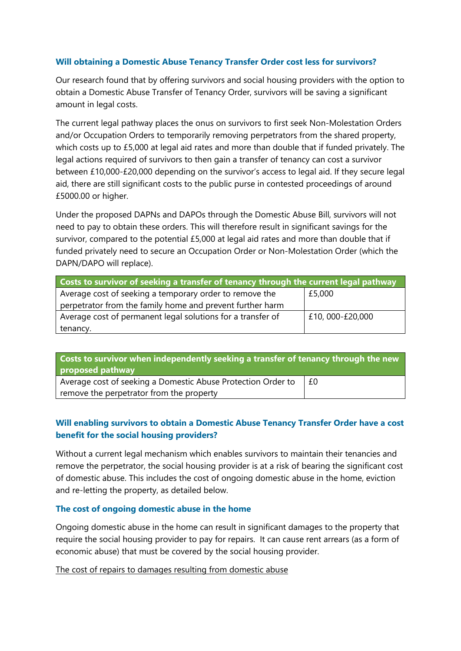#### **Will obtaining a Domestic Abuse Tenancy Transfer Order cost less for survivors?**

Our research found that by offering survivors and social housing providers with the option to obtain a Domestic Abuse Transfer of Tenancy Order, survivors will be saving a significant amount in legal costs.

The current legal pathway places the onus on survivors to first seek Non-Molestation Orders and/or Occupation Orders to temporarily removing perpetrators from the shared property, which costs up to £5,000 at legal aid rates and more than double that if funded privately. The legal actions required of survivors to then gain a transfer of tenancy can cost a survivor between £10,000-£20,000 depending on the survivor's access to legal aid. If they secure legal aid, there are still significant costs to the public purse in contested proceedings of around £5000.00 or higher.

Under the proposed DAPNs and DAPOs through the Domestic Abuse Bill, survivors will not need to pay to obtain these orders. This will therefore result in significant savings for the survivor, compared to the potential £5,000 at legal aid rates and more than double that if funded privately need to secure an Occupation Order or Non-Molestation Order (which the DAPN/DAPO will replace).

| Costs to survivor of seeking a transfer of tenancy through the current legal pathway |                 |  |
|--------------------------------------------------------------------------------------|-----------------|--|
| Average cost of seeking a temporary order to remove the                              | £5,000          |  |
| perpetrator from the family home and prevent further harm                            |                 |  |
| Average cost of permanent legal solutions for a transfer of                          | £10,000-£20,000 |  |
| tenancy.                                                                             |                 |  |

**Costs to survivor when independently seeking a transfer of tenancy through the new proposed pathway**

Average cost of seeking a Domestic Abuse Protection Order to remove the perpetrator from the property £0

# **Will enabling survivors to obtain a Domestic Abuse Tenancy Transfer Order have a cost benefit for the social housing providers?**

Without a current legal mechanism which enables survivors to maintain their tenancies and remove the perpetrator, the social housing provider is at a risk of bearing the significant cost of domestic abuse. This includes the cost of ongoing domestic abuse in the home, eviction and re-letting the property, as detailed below.

#### **The cost of ongoing domestic abuse in the home**

Ongoing domestic abuse in the home can result in significant damages to the property that require the social housing provider to pay for repairs. It can cause rent arrears (as a form of economic abuse) that must be covered by the social housing provider.

The cost of repairs to damages resulting from domestic abuse